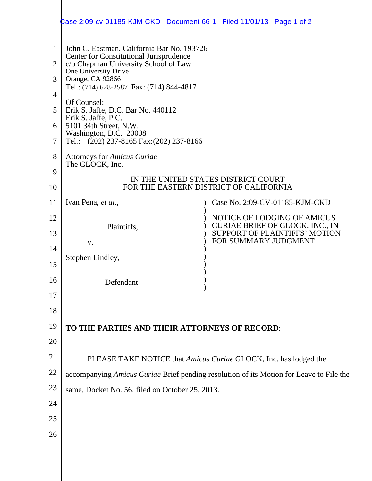|                                                      | Jase 2:09-cv-01185-KJM-CKD Document 66-1    Filed 11/01/13    Page 1 of 2                                                                                                                                                                                                                                                                                                                                                                                  |                                                                |  |
|------------------------------------------------------|------------------------------------------------------------------------------------------------------------------------------------------------------------------------------------------------------------------------------------------------------------------------------------------------------------------------------------------------------------------------------------------------------------------------------------------------------------|----------------------------------------------------------------|--|
| $\mathbf{1}$<br>2<br>3<br>4<br>5<br>6<br>7<br>8<br>9 | John C. Eastman, California Bar No. 193726<br>Center for Constitutional Jurisprudence<br>c/o Chapman University School of Law<br>One University Drive<br>Orange, CA 92866<br>Tel.: (714) 628-2587 Fax: (714) 844-4817<br>Of Counsel:<br>Erik S. Jaffe, D.C. Bar No. 440112<br>Erik S. Jaffe, P.C.<br>5101 34th Street, N.W.<br>Washington, D.C. 20008<br>Tel.: (202) 237-8165 Fax: (202) 237-8166<br><b>Attorneys for Amicus Curiae</b><br>The GLOCK, Inc. |                                                                |  |
| 10                                                   | IN THE UNITED STATES DISTRICT COURT<br>FOR THE EASTERN DISTRICT OF CALIFORNIA                                                                                                                                                                                                                                                                                                                                                                              |                                                                |  |
| 11                                                   | Ivan Pena, et al.,                                                                                                                                                                                                                                                                                                                                                                                                                                         | Case No. 2:09-CV-01185-KJM-CKD                                 |  |
| 12                                                   | Plaintiffs,                                                                                                                                                                                                                                                                                                                                                                                                                                                | NOTICE OF LODGING OF AMICUS<br>CURIAE BRIEF OF GLOCK, INC., IN |  |
| 13                                                   | V.                                                                                                                                                                                                                                                                                                                                                                                                                                                         | <b>SUPPORT OF PLAINTIFFS' MOTION</b><br>FOR SUMMARY JUDGMENT   |  |
| 14                                                   | Stephen Lindley,                                                                                                                                                                                                                                                                                                                                                                                                                                           |                                                                |  |
| 15                                                   |                                                                                                                                                                                                                                                                                                                                                                                                                                                            |                                                                |  |
| 16<br>17                                             | Defendant                                                                                                                                                                                                                                                                                                                                                                                                                                                  |                                                                |  |
| 18                                                   |                                                                                                                                                                                                                                                                                                                                                                                                                                                            |                                                                |  |
| 19                                                   | TO THE PARTIES AND THEIR ATTORNEYS OF RECORD:                                                                                                                                                                                                                                                                                                                                                                                                              |                                                                |  |
| 20                                                   |                                                                                                                                                                                                                                                                                                                                                                                                                                                            |                                                                |  |
| 21                                                   | PLEASE TAKE NOTICE that Amicus Curiae GLOCK, Inc. has lodged the                                                                                                                                                                                                                                                                                                                                                                                           |                                                                |  |
| 22                                                   | accompanying Amicus Curiae Brief pending resolution of its Motion for Leave to File the                                                                                                                                                                                                                                                                                                                                                                    |                                                                |  |
| 23                                                   | same, Docket No. 56, filed on October 25, 2013.                                                                                                                                                                                                                                                                                                                                                                                                            |                                                                |  |
| 24                                                   |                                                                                                                                                                                                                                                                                                                                                                                                                                                            |                                                                |  |
| 25                                                   |                                                                                                                                                                                                                                                                                                                                                                                                                                                            |                                                                |  |
| 26                                                   |                                                                                                                                                                                                                                                                                                                                                                                                                                                            |                                                                |  |
|                                                      |                                                                                                                                                                                                                                                                                                                                                                                                                                                            |                                                                |  |
|                                                      |                                                                                                                                                                                                                                                                                                                                                                                                                                                            |                                                                |  |
|                                                      |                                                                                                                                                                                                                                                                                                                                                                                                                                                            |                                                                |  |